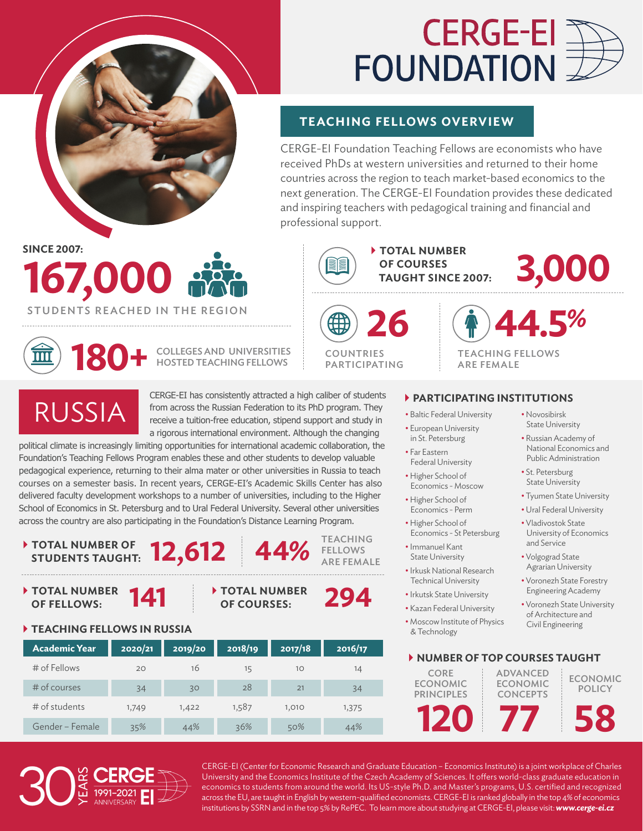

# **CERGE-EI FOUNDATION**

#### **TEACHING FELLOWS OVERVIEW**

CERGE-EI Foundation Teaching Fellows are economists who have received PhDs at western universities and returned to their home countries across the region to teach market-based economics to the next generation. The CERGE-EI Foundation provides these dedicated and inspiring teachers with pedagogical training and financial and professional support.

**SINCE 2007:**

### **167,000** STUDENTS REACHED IN THE REGION **26**



**180+** COLLEGES AND UNIVERSITIES HOSTED TEACHING FELLOWS



**FELLOWS** ARE FEMALE

4**TOTAL NUMBER OF COURSES TAUGHT SINCE 2007: 3,000**

> **44.5%** TEACHING FELLOWS

ARE FEMALE

### RUSSIA

CERGE-EI has consistently attracted a high caliber of students from across the Russian Federation to its PhD program. They receive a tuition-free education, stipend support and study in a rigorous international environment. Although the changing

political climate is increasingly limiting opportunities for international academic collaboration, the Foundation's Teaching Fellows Program enables these and other students to develop valuable pedagogical experience, returning to their alma mater or other universities in Russia to teach courses on a semester basis. In recent years, CERGE-EI's Academic Skills Center has also delivered faculty development workshops to a number of universities, including to the Higher School of Economics in St. Petersburg and to Ural Federal University. Several other universities across the country are also participating in the Foundation's Distance Learning Program.

### 4**TOTAL NUMBER OF STUDENTS TAUGHT: 12,612 44%** TEACHING

◆ TOTAL NUMBER 141 → TOTAL NUMBER OF FELLOWS:

## **TOTAL NUMBER** 294

#### 4**TEACHING FELLOWS IN RUSSIA**

| <b>Academic Year</b> | 2020/21 | 2019/20 | 2018/19 | 2017/18 | 2016/17 |
|----------------------|---------|---------|---------|---------|---------|
| $#$ of Fellows       | 20      | 16      | 15      | 10      | 14      |
| $#$ of courses       | 34      | 30      | 28      | 21      | 34      |
| # of students        | 1,749   | 1,422   | 1,587   | 1,010   | 1,375   |
| Gender - Female      | 35%     | 44%     | 36%     | 50%     | 44%     |

#### 4**PARTICIPATING INSTITUTIONS**

- Baltic Federal University
- European University in St. Petersburg
- Far Eastern Federal University
- Higher School of
- Economics Moscow • Higher School of Economics - Perm
- Higher School of Economics - St Petersburg
- Immanuel Kant State University
- Irkusk National Research Technical University
- Irkutsk State University
- Kazan Federal University
- Moscow Institute of Physics & Technology
- Novosibirsk State University
- Russian Academy of National Economics and Public Administration
- St. Petersburg State University
- Tyumen State University
- Ural Federal University
- Vladivostok State University of Economics and Service
- Volgograd State Agrarian University
- Voronezh State Forestry Engineering Academy
- Voronezh State University of Architecture and Civil Engineering

#### 4**NUMBER OF TOP COURSES TAUGHT 120** CORE ECONOMIC **PRINCIPLES 77** ADVANCED ECONOMIC CONCEPTS **58** ECONOMIC **POLICY**

CERGE-EI (Center for Economic Research and Graduate Education – Economics Institute) is a joint workplace of Charles University and the Economics Institute of the Czech Academy of Sciences. It offers world-class graduate education in economics to students from around the world. Its US-style Ph.D. and Master's programs, U.S. certified and recognized across the EU, are taught in English by western-qualified economists. CERGE-EI is ranked globally in the top 4% of economics institutions by SSRN and in the top 5% by RePEC. To learn more about studying at CERGE-EI, please visit: *www.cerge-ei.cz*